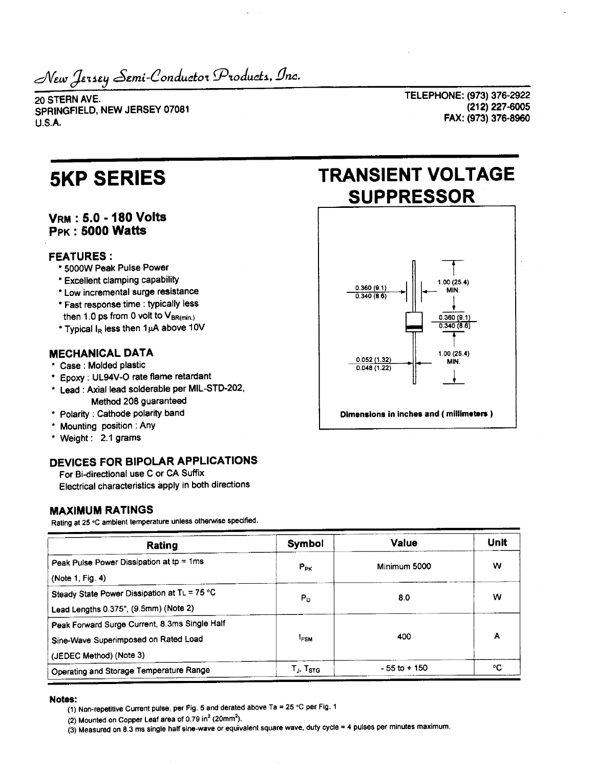Iersey *Sem*i-Conductor Products, Inc.

20 STERN AVE. SPRINGFIELD, NEW JERSEY 07081 U.S.A.

TELEPHONE: (973) 376-2922 (212)227-6005 FAX: (973) 376-8960

# **VRM : 5.0-180 Volts PPK : 5000 Watts**

## **FEATURES :**

- \* 5000W Peak Pulse Power
- \* Excellent clamping capability
- \* Low incremental surge resistance
- \* Fast response time : typically less then 1.0 ps from 0 volt to  $V_{BR(min)}$
- \* Typical  $I_R$  less then 1 $\mu$ A above 10V

## **MECHANICAL DATA**

- \* Case : Molded plastic
- \* Epoxy : UL94V-0 rate flame retardant
- \* Lead : Axial lead solderable per MIL-STD-202, Method 208 guaranteed
- \* Polarity : Cathode polarity band
- \* Mounting position : Any
- \* Weight: 2.1 grams

# **DEVICES FOR BIPOLAR APPLICATIONS**

For Bi-directional use C or CA Suffix

Electrical characteristics apply in both directions

# **MAXIMUM RATINGS**

Rating at 25 °C ambient temperature unless otherwise specified.

| Rating                                                                                                           | Symbol                                                | Value           | Unit<br>w |  |
|------------------------------------------------------------------------------------------------------------------|-------------------------------------------------------|-----------------|-----------|--|
| Peak Pulse Power Dissipation at $tp = 1ms$<br>(Note 1, Fig. 4)                                                   | $P_{PK}$                                              | Minimum 5000    |           |  |
| Steady State Power Dissipation at TL = 75 °C<br>Lead Lengths 0.375", (9.5mm) (Note 2)                            | $P_D$                                                 | 8.0             | w         |  |
| Peak Forward Surge Current, 8.3ms Single Half<br>Sine-Wave Superimposed on Rated Load<br>(JEDEC Method) (Note 3) | <sup>1</sup> FSM                                      | 400             | A         |  |
| Operating and Storage Temperature Range                                                                          | $\mathsf{T}_{\mathsf{J}},\,\mathsf{T}_{\texttt{STG}}$ | $-55$ to $+150$ | ۰c        |  |

#### **Notes:**

(1) Non-repetitive Current pulse, per Fig. 5 and derated above Ta = 25 °C per Fig. 1

(2) Mounted on Copper Leaf area of  $0.79$  in $^2$  (20mm $^2$ ).

(3) Measured on 8.3 ms single half sine-wave or equivalent square wave, duty cycle = 4 pulses per minutes maximum.

# **5KP SERIES TRANSIENT VOLTAGE SUPPRESSOR**



**Dimensions in inches and (millimeters )**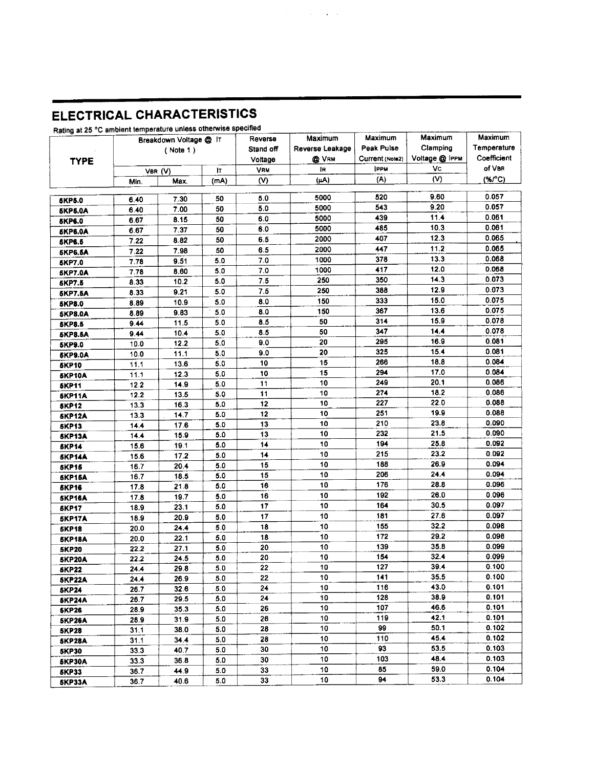# **ELECTRICAL CHARACTERISTICS**

|                | Breakdown Voltage @ IT |          |      | Reverse<br>Stand off | Maximum         | Maximum<br>Peak Pulse          | Maximum<br>Clamping<br>Voltage @ IPPM<br>Vc | Maximum<br>Temperature<br>Coefficient<br>of VBR |
|----------------|------------------------|----------|------|----------------------|-----------------|--------------------------------|---------------------------------------------|-------------------------------------------------|
| <b>TYPE</b>    |                        | (Note 1) |      |                      | Reverse Leakage |                                |                                             |                                                 |
|                |                        |          |      | Voltage              | <b>Q</b> VRM    | Current (Note2)<br><b>IPPM</b> |                                             |                                                 |
|                |                        | VBR (V)  | Iτ   | <b>VRM</b><br>(V)    | IR.<br>(µA)     | (A)                            | (V)                                         | $(*\mathcal{C})$                                |
|                | Min.                   | Max.     | (mA) |                      |                 |                                |                                             |                                                 |
| <b>SKP5.0</b>  | 6.40                   | 7.30     | 50   | 5.0                  | 5000            | 520                            | 9.60                                        | 0.057                                           |
| 5KP5.0A        | 6.40                   | 7.00     | 50   | 5.0                  | 5000            | 543                            | 9.20                                        | 0.057                                           |
| <b>5KP6.0</b>  | 6.67                   | 8.15     | 50   | 6.0                  | 5000            | 439                            | 11.4                                        | 0.061                                           |
| <b>SKP6.0A</b> | 6.67                   | 7.37     | 50   | 6.0                  | 5000            | 485                            | 10.3                                        | 0.061                                           |
| <b>SKP6.6</b>  | 7 22                   | 8.82     | 50   | 6.5                  | 2000            | 407                            | 12.3                                        | 0.065                                           |
| <b>5KP6.6A</b> | 7.22                   | 7.98     | 50   | 6.5                  | 2000            | 447                            | 11.2                                        | 0.065                                           |
| <b>SKP7.0</b>  | 7.78                   | 9.51     | 5.0  | 7.0                  | 1000            | 378                            | 13.3                                        | 0.068                                           |
| <b>SKP7.0A</b> | 7.78                   | 8.60     | 5.0  | 7.0                  | 1000            | 417                            | 12.0                                        | 0.068                                           |
| <b>5KP7.5</b>  | 8.33                   | 10.2     | 5.0  | 7.5                  | 250             | 350                            | 14.3                                        | 0.073                                           |
| <b>5KP7.5A</b> | 8.33                   | 9.21     | 5.0  | 7.5                  | 250             | 388                            | 12.9                                        | 0.073                                           |
| 5KP8.0         | 8.89                   | 10.9     | 5.0  | 8.0                  | 150             | 333                            | 15.0                                        | 0.075                                           |
| <b>5KP8.0A</b> | 8.89                   | 9.83     | 5.0  | 8.0                  | 150             | 367                            | 13.6                                        | 0.075                                           |
| <b>5KP8.5</b>  | 9.44                   | 11.5     | 5.0  | 8.5                  | 50              | 314                            | 15.9                                        | 0.078                                           |
| <b>5KP8.5A</b> | 9.44                   | 10.4     | 5.0  | 8.5                  | 50              | 347                            | 14.4                                        | 0.078                                           |
| <b>5KP9.0</b>  | 10.0                   | 12.2     | 5.0  | 9.0                  | 20              | 295                            | 16.9                                        | 0.081                                           |
| <b>SKP9.0A</b> | 10.0                   | 11.1     | 5.0  | 9.0                  | 20              | 325                            | 15.4                                        | 0.081                                           |
| <b>5KP10</b>   | 11.1                   | 13.6     | 5.0  | 10                   | 15              | 266                            | 18.8                                        | 0.084                                           |
| <b>5KP10A</b>  | 11.1                   | 12.3     | 5.0  | 10                   | 15              | 294                            | 17.0                                        | 0.084                                           |
| <b>5KP11</b>   | 12.2                   | 14.9     | 5.0  | 11                   | 10              | 249                            | 20.1                                        | 0.086                                           |
| <b>5KP11A</b>  | 12.2                   | 13.5     | 5.0  | 11                   | 10              | 274                            | 18.2                                        | 0.086                                           |
| <b>SKP12</b>   | 13.3                   | 16.3     | 5.0  | 12                   | 10              | 227                            | 22.0                                        | 0.088                                           |
| <b>5KP12A</b>  | 13.3                   | 14.7     | 5.0  | 12                   | 10              | 251                            | 19.9                                        | 0.088                                           |
| <b>5KP13</b>   | 14.4                   | 17.6     | 5.0  | 13                   | 10              | 210                            | 23.8                                        | 0.090                                           |
| <b>5KP13A</b>  | 14.4                   | 15.9     | 5.0  | 13                   | 10              | 232                            | 21.5                                        | 0.090                                           |
| <b>SKP14</b>   | 15.6                   | 19.1     | 5.0  | 14                   | 10              | 194                            | 25.8                                        | 0.092                                           |
| <b>SKP14A</b>  | 15.6                   | 17.2     | 5.0  | 14                   | 10              | 215                            | 23.2                                        | 0.092                                           |
| <b>5KP15</b>   | 16.7                   | 20.4     | 5.0  | 15                   | 10              | 188                            | 26.9                                        | 0.094                                           |
| <b>5KP15A</b>  | 16.7                   | 18.5     | 5.0  | 15                   | 10              | 206                            | 24.4                                        | 0.094                                           |
| <b>SKP16</b>   | 17.8                   | 21.8     | 5.0  | 16                   | 10              | 176                            | 28.8                                        | 0.096                                           |
| <b>5KP16A</b>  | 17.8                   | 19.7     | 5.0  | 16                   | 10              | 192                            | 26.0                                        | 0.096                                           |
| <b>SKP17</b>   | 18.9                   | 23.1     | 5.0  | 17                   | 10              | 164                            | 30.5                                        | 0.097                                           |
| <b>5KP17A</b>  | 18.9                   | 20.9     | 5.0  | 17                   | 10              | 181                            | 27.6                                        | 0.097                                           |
| <b>5KP18</b>   | 20.0                   | 24.4     | 5.0  | 18                   | 10              | 155                            | 32.2                                        | 0.098                                           |
| <b>5KP18A</b>  | 20.0                   | 22.1     | 5.0  | 18                   | 10              | 172                            | 29.2                                        | 0.098                                           |
| <b>5KP20</b>   | 22.2                   | 27.1     | 5.0  | 20                   | 10              | 139                            | 35.8                                        | 0.099                                           |
| <b>5KP20A</b>  | 22.2                   | 24.5     | 5.0  | 20                   | 10              | 154                            | 32.4                                        | 0.099                                           |
| <b>SKP22</b>   | 24.4                   | 29.8     | 5.0  | 22                   | 10              | 127                            | 39.4                                        | 0.100                                           |
| <b>5KP22A</b>  | 24.4                   | 26.9     | 5.0  | 22                   | 10              | 141                            | 35.5                                        | 0.100                                           |
| <b>5KP24</b>   | 26.7                   | 32.6     | 5.0  | 24                   | 10              | 116                            | 43.0                                        | 0.101                                           |
| <b>5KP24A</b>  | 26.7                   | 29.5     | 5.0  | 24                   | 10              | 128                            | 38.9                                        | 0.101                                           |
| <b>SKP26</b>   | 28.9                   | 35.3     | 5.0  | 26                   | 10              | 107                            | 46.6                                        | 0.101                                           |
| <b>SKP26A</b>  | 28.9                   | 31.9     | 5.0  | 26                   | 10              | 119                            | 42.1                                        | 0.101                                           |
| <b>5KP28</b>   | 31.1                   | 38.0     | 5.0  | 28                   | 10              | 99                             | 50.1                                        | 0.102                                           |
| <b>SKP28A</b>  | 31.1                   | 34.4     | 5.0  | 28                   | 10              | 110                            | 45.4                                        | 0.102                                           |
| <b>5KP30</b>   | 33.3                   | 40.7     | 5.0  | 30                   | 10              | 93                             | 53.5                                        | 0.103                                           |
| <b>SKP30A</b>  | 33.3                   | 36.8     | 5.0  | 30                   | 10              | 103                            | 48.4                                        | 0.103                                           |
| <b>5KP33</b>   | 36.7                   | 44.9     | 5.0  | 33                   | 10              | 85                             | 59.0                                        | 0.104                                           |
| EVD99A         | <b>28.7</b>            | 40 B     | 50.  | 33.                  | 10              | 94                             | 53.3                                        | 0.104                                           |

 $\mathcal{L}(\mathcal{A})$  and  $\mathcal{L}(\mathcal{A})$  are  $\mathcal{L}(\mathcal{A})$  . And

Rating at 25 °C ambient temperature unless otherwise specified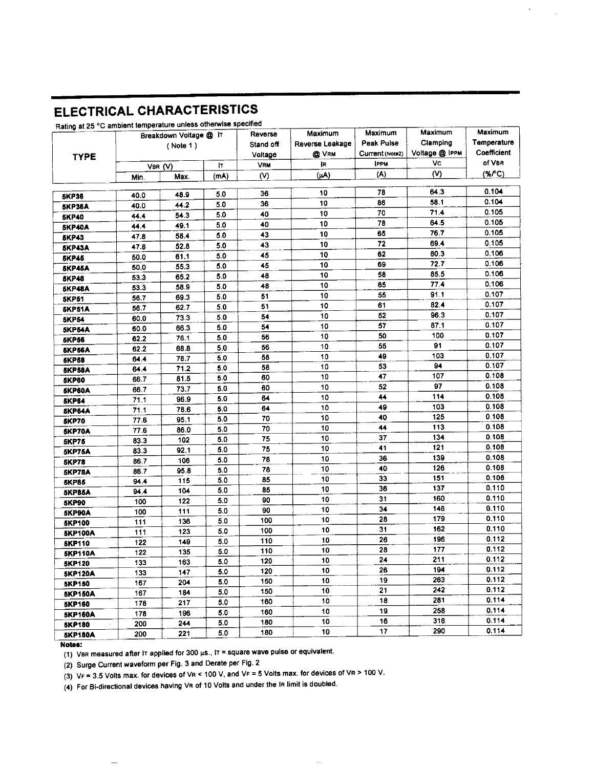# **ELECTRICAL CHARACTERISTICS**

## Rating at 25 °C ambient temperature unless otherwise specified

|                | Rating at 25 °C ambient temperature unless calculates<br>Breakdown Voltage @ IT |                  |      | Reverse   | Maximum         | Maximum         | Maximum        | Maximum     |
|----------------|---------------------------------------------------------------------------------|------------------|------|-----------|-----------------|-----------------|----------------|-------------|
| <b>TYPE</b>    | ( Note 1)                                                                       |                  |      | Stand off | Reverse Leakage | Peak Pulse      | Clamping       | Temperature |
|                |                                                                                 |                  |      | Voltage   | @ VRM           | Current (Note2) | Voltage @ IPPM | Coefficient |
|                |                                                                                 | I٢<br>VBR (V)    |      |           | ļR.             | <b>IPPM</b>     | Vc             | of VBR      |
|                | Min.                                                                            | Max.             | (mA) | (V)       | $(\mu A)$       | (A)             | (V)            | $(*C)$      |
|                |                                                                                 |                  | 5.0  | 36        | 10              | 78              | 64.3           | 0.104       |
| <b>5KP36</b>   | 40.0                                                                            | 48.9             | 5.0  | 36        | 10              | 86              | 58.1           | 0.104       |
| 5KP36A         | 40.0                                                                            | 44.2             | 5.0  | 40        | 10              | 70              | 71.4           | 0.105       |
| <b>5KP40</b>   | 44.4                                                                            | 54.3             | 5.0  | 40        | 10              | 78              | 64.5           | 0.105       |
| <b>5KP40A</b>  | 44.4                                                                            | 49.1             | 5.0  | 43        | 10              | 65              | 76.7           | 0.105       |
| <b>5KP43</b>   | 47.8                                                                            | 58.4             | 5.0  | 43        | 10              | 72              | 69.4           | 0.105       |
| <b>SKP43A</b>  | 47.8                                                                            | 52.8             |      | 45        | 10              | 62              | 80.3           | 0.106       |
| <b>SKP45</b>   | 50.0                                                                            | 61.1             | 5.0  | 45        | 10              | 69              | 72.7           | 0.106       |
| <b>SKP45A</b>  | 50.0                                                                            | 55.3             | 5.0  | 48        | 10              | 58              | 85.5           | 0.106       |
| <b>5KP48</b>   | 53.3                                                                            | 65.2             | 5.0  | 48        | 10              | 65              | 77.4           | 0.106       |
| <b>5KP48A</b>  | 53.3                                                                            | 58.9             | 5.0  |           | 10              | 55              | 91.1           | 0.107       |
| <b>5KP51</b>   | 56.7                                                                            | 69.3             | 5.0  | 51<br>51  | 10              | 61              | 82.4           | 0.107       |
| <b>SKP51A</b>  | 56.7                                                                            | 62.7             | 5.0  | 54        | 10              | 52              | 96.3           | 0.107       |
| <b>5KP54</b>   | 60.0                                                                            | 73.3             | 5.0  | 54        | 10              | 57              | 87.1           | 0.107       |
| <b>5KP54A</b>  | 60.0                                                                            | 66.3             | 5.0  | 56        | 10              | 50              | 100            | 0.107       |
| <b>5KP56</b>   | 62.2                                                                            | 76.1             | 5.0  | 56        | 10              | 55              | 91             | 0.107       |
| 5KP56A         | 62.2                                                                            | 68.8             | 5.0  | 58        | 10              | 49              | 103            | 0.107       |
| <b>5KP58</b>   | 64.4                                                                            | 78.7             | 5.0  | 58        | 10              | 53              | 94             | 0.107       |
| <b>SKP58A</b>  | 64.4                                                                            | 71.2             | 5.0  |           | 10              | 47              | 107            | 0.108       |
| <b>5KP60</b>   | 66.7                                                                            | 81.5             | 5.0  | 60        | 10              | 52              | 97             | 0.108       |
| <b>5KP60A</b>  | 66.7                                                                            | 73.7             | 5.0  | 60        | 10              | 44              | 114            | 0.108       |
| <b>5KP64</b>   | 71.1                                                                            | 96.9             | 5.0  | 64        |                 | 49              | 103            | 0.108       |
| <b>SKP64A</b>  | 71.1                                                                            | 78.6             | 5.0  | 64        | 10              | 40              | 125            | 0.108       |
| <b>SKP70</b>   | 77.6                                                                            | 95.1             | 5.0  | 70        | 10<br>10        | 44              | 113            | 0.108       |
| 5KP70A         | 77.6                                                                            | 86.0             | 5.0  | 70        |                 | 37              | 134            | 0.108       |
| <b>5KP75</b>   | 83.3                                                                            | 102              | 5.0  | 75        | 10              |                 | 121            | 0.108       |
| <b>5KP75A</b>  | 83.3                                                                            | 92.1             | 5.0  | 75        | 10              | 41              | 139            | 0.108       |
| <b>5KP78</b>   | 86.7                                                                            | 106              | 5.0  | 78        | 10              | 36<br>40        | 126            | 0.108       |
| <b>5KP78A</b>  | 86.7                                                                            | 95.8             | 5.0  | 78        | 10              |                 | 151            | 0.108       |
| <b>SKP85</b>   | 94.4                                                                            | 115              | 5.0  | 85        | 10              | 33<br>36        | 137            | 0.110       |
| <b>SKP85A</b>  | 94.4                                                                            | 104              | 5.0  | 85        | 10              | 31              | 160            | 0.110       |
| <b>5KP90</b>   | 100                                                                             | 122              | 5.0  | 90        | 10              | 34              | 146            | 0.110       |
| <b>SKP90A</b>  | 100                                                                             | 111              | 5.0  | 90        | 10              | 28              | 179            | 0.110       |
| <b>SKP100</b>  | 111                                                                             | 136              | 5.0  | 100       | 10              | 31              | 162            | 0.110       |
| <b>SKP100A</b> | 111                                                                             | 123              | 5.0  | 100       | 10              | 26              | 196            | 0.112       |
| <b>5KP110</b>  | 122                                                                             | 149              | 5.0  | 110       | 10              |                 | 177            | 0.112       |
| <b>5KP110A</b> | 122                                                                             | 135              | 5.0  | 110       | 10              | 28<br>24        | 211            | 0.112       |
| <b>SKP120</b>  | 133                                                                             | $\overline{163}$ | 5.0  | 120       | $10\,$          | 26              | 194            | 0.112       |
| <b>5KP120A</b> | 133                                                                             | 147              | 5.0  | 120       | 10              | 19              | 263            | 0.112       |
| <b>SKP150</b>  | 167                                                                             | 204              | 5.0  | 150       | 10              | 21              | 242            | 0.112       |
| <b>5KP150A</b> | 167                                                                             | 184              | 5.0  | 150       | 10              |                 | 281            | 0.114       |
| <b>5KP160</b>  | 178                                                                             | 217              | 5.0  | 160       | 10              | 18              |                |             |
| <b>5KP160A</b> | 178                                                                             | 196              | 5.0  | 160       | 10              | 19              | 258            | 0.114       |
| <b>5KP180</b>  | 200                                                                             | 244              | 5.0  | 180       | 10              | 16              | 316            | 0.114       |
| <b>SKP180A</b> | 200                                                                             | 221              | 5.0  | 180       | 10              | 17              | 290            | 0.114       |

### **Notes:**

 $\frac{1}{2}$ 

(1) VBR measured after IT applied for 300  $\mu$ s., IT = square wave pulse or equivalent.

(2) Surge Current waveform per Fig. 3 and Derate per Fig. 2

(3) VF = 3.5 Volts max. for devices of VR < 100 V, and VF = 5 Volts max. for devices of VR > 100 V.

(4) For Bi-directional devices having VR of 10 Volts and under the IR limit is doubled.